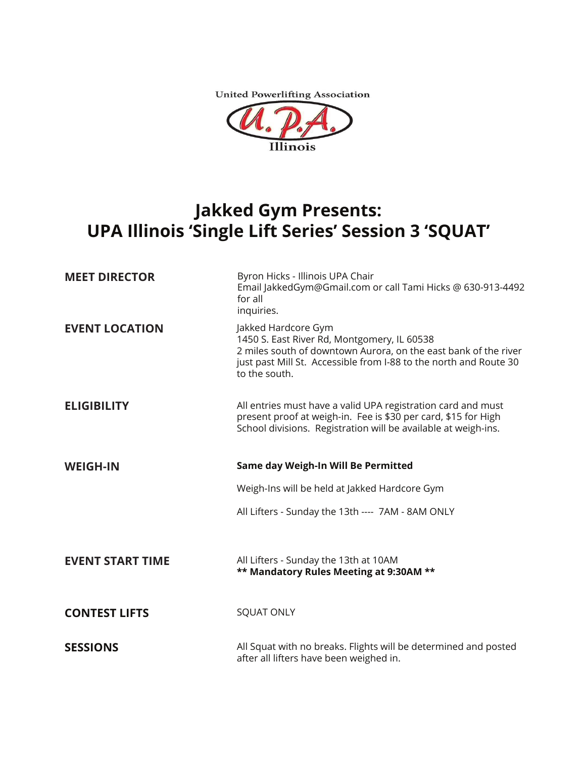**United Powerlifting Association** 



## **Jakked Gym Presents: UPA Illinois 'Single Lift Series' Session 3 'SQUAT'**

| <b>MEET DIRECTOR</b>    | Byron Hicks - Illinois UPA Chair<br>Email JakkedGym@Gmail.com or call Tami Hicks @ 630-913-4492<br>for all<br>inquiries.                                                                                                    |
|-------------------------|-----------------------------------------------------------------------------------------------------------------------------------------------------------------------------------------------------------------------------|
| <b>EVENT LOCATION</b>   | Jakked Hardcore Gym<br>1450 S. East River Rd, Montgomery, IL 60538<br>2 miles south of downtown Aurora, on the east bank of the river<br>just past Mill St. Accessible from I-88 to the north and Route 30<br>to the south. |
| <b>ELIGIBILITY</b>      | All entries must have a valid UPA registration card and must<br>present proof at weigh-in. Fee is \$30 per card, \$15 for High<br>School divisions. Registration will be available at weigh-ins.                            |
| <b>WEIGH-IN</b>         | Same day Weigh-In Will Be Permitted                                                                                                                                                                                         |
|                         | Weigh-Ins will be held at Jakked Hardcore Gym                                                                                                                                                                               |
|                         | All Lifters - Sunday the 13th ---- 7AM - 8AM ONLY                                                                                                                                                                           |
|                         |                                                                                                                                                                                                                             |
| <b>EVENT START TIME</b> | All Lifters - Sunday the 13th at 10AM<br>** Mandatory Rules Meeting at 9:30AM **                                                                                                                                            |
| <b>CONTEST LIFTS</b>    | <b>SQUAT ONLY</b>                                                                                                                                                                                                           |
| <b>SESSIONS</b>         | All Squat with no breaks. Flights will be determined and posted<br>after all lifters have been weighed in.                                                                                                                  |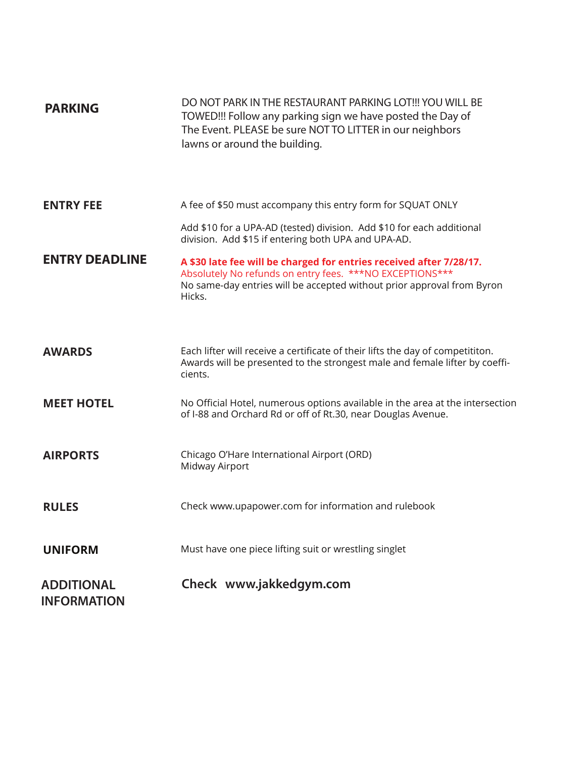| <b>PARKING</b>                          | DO NOT PARK IN THE RESTAURANT PARKING LOT!!! YOU WILL BE<br>TOWED!!! Follow any parking sign we have posted the Day of<br>The Event. PLEASE be sure NOT TO LITTER in our neighbors<br>lawns or around the building. |
|-----------------------------------------|---------------------------------------------------------------------------------------------------------------------------------------------------------------------------------------------------------------------|
| <b>ENTRY FEE</b>                        | A fee of \$50 must accompany this entry form for SQUAT ONLY                                                                                                                                                         |
|                                         | Add \$10 for a UPA-AD (tested) division. Add \$10 for each additional<br>division. Add \$15 if entering both UPA and UPA-AD.                                                                                        |
| <b>ENTRY DEADLINE</b>                   | A \$30 late fee will be charged for entries received after 7/28/17.<br>Absolutely No refunds on entry fees. ***NO EXCEPTIONS***<br>No same-day entries will be accepted without prior approval from Byron<br>Hicks. |
| <b>AWARDS</b>                           | Each lifter will receive a certificate of their lifts the day of competititon.<br>Awards will be presented to the strongest male and female lifter by coeffi-<br>cients.                                            |
| <b>MEET HOTEL</b>                       | No Official Hotel, numerous options available in the area at the intersection<br>of I-88 and Orchard Rd or off of Rt.30, near Douglas Avenue.                                                                       |
| <b>AIRPORTS</b>                         | Chicago O'Hare International Airport (ORD)<br>Midway Airport                                                                                                                                                        |
| <b>RULES</b>                            | Check www.upapower.com for information and rulebook                                                                                                                                                                 |
| <b>UNIFORM</b>                          | Must have one piece lifting suit or wrestling singlet                                                                                                                                                               |
| <b>ADDITIONAL</b><br><b>INFORMATION</b> | Check www.jakkedgym.com                                                                                                                                                                                             |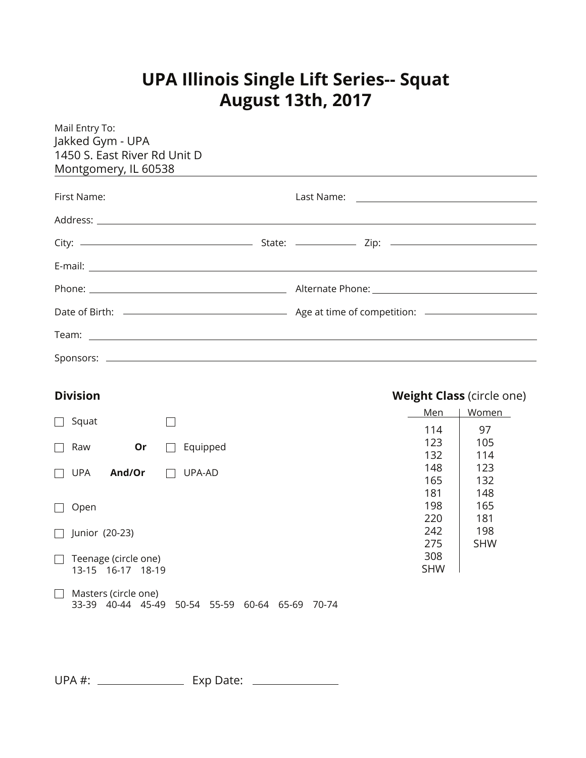# **UPA Illinois Single Lift Series-- Squat August 13th, 2017**

| Mail Entry To:<br>Jakked Gym - UPA<br>1450 S. East River Rd Unit D |       |                                  |  |
|--------------------------------------------------------------------|-------|----------------------------------|--|
| Montgomery, IL 60538                                               |       |                                  |  |
| First Name:                                                        |       |                                  |  |
|                                                                    |       |                                  |  |
|                                                                    |       |                                  |  |
|                                                                    |       |                                  |  |
|                                                                    |       |                                  |  |
|                                                                    |       |                                  |  |
|                                                                    |       |                                  |  |
|                                                                    |       |                                  |  |
|                                                                    |       |                                  |  |
| <b>Division</b>                                                    |       | <b>Weight Class (circle one)</b> |  |
|                                                                    | Men   | Women                            |  |
| Squat                                                              | $114$ | 97<br>$\sqrt{10}$                |  |

| Squat          |                      |       |        |          |       |       |       |  |            |            |
|----------------|----------------------|-------|--------|----------|-------|-------|-------|--|------------|------------|
|                |                      |       |        |          |       |       |       |  | 114        | 97         |
| Raw            |                      | Or    |        | Equipped |       |       |       |  | 123        | 105        |
|                |                      |       |        |          |       |       |       |  | 132        | 114        |
| <b>UPA</b>     | And/Or               |       | UPA-AD |          |       |       |       |  | 148        | 123        |
|                |                      |       |        |          |       |       |       |  | 165        | 132        |
|                |                      |       |        |          |       |       |       |  | 181        | 148        |
| Open           |                      |       |        |          |       |       |       |  | 198        | 165        |
|                |                      |       |        |          |       |       |       |  | 220        | 181        |
| Junior (20-23) |                      |       |        |          |       |       |       |  | 242        | 198        |
|                |                      |       |        |          |       |       |       |  | 275        | <b>SHW</b> |
|                | Teenage (circle one) |       |        |          |       |       |       |  | 308        |            |
|                | 13-15 16-17 18-19    |       |        |          |       |       |       |  | <b>SHW</b> |            |
|                |                      |       |        |          |       |       |       |  |            |            |
|                | Masters (circle one) |       |        |          |       |       |       |  |            |            |
| 33-39          | 40-44                | 45-49 | 50-54  | 55-59    | 60-64 | 65-69 | 70-74 |  |            |            |

UPA #: Exp Date: